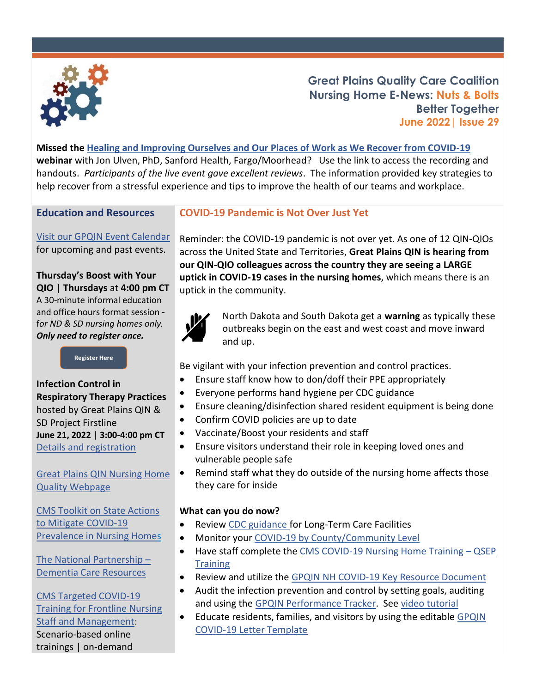

**Great Plains Quality Care Coalition Nursing Home E-News: Nuts & Bolts Better Together June 2022| Issue 29**

**Missed the [Healing and Improving Ourselves and Our Places of Work as We Recover from COVID-19](https://greatplainsqin.org/calendar/healing-and-improving-ourselves-and-our-places-of-work-as-we-recover-from-covid-19/)  webinar** with Jon Ulven, PhD, Sanford Health, Fargo/Moorhead? Use the link to access the recording and handouts. *Participants of the live event gave excellent reviews*. The information provided key strategies to help recover from a stressful experience and tips to improve the health of our teams and workplace.

## **Education and Resources**

[Visit our GPQIN Event Calendar](https://greatplainsqin.org/calendar-2/) for upcoming and past events.

### **Thursday's Boost with Your QIO** | **Thursdays** at **4:00 pm CT** A 30-minute informal education and office hours format session  f*or ND & SD nursing homes only. Only need to register once.*

**[Register Here](https://gpqin.wufoo.com/forms/thursdays-boost-with-your-qio/)**

## **Infection Control in Respiratory Therapy Practices** hosted by Great Plains QIN & SD Project Firstline **June 21, 2022 | 3:00-4:00 pm CT** [Details and registration](https://greatplainsqin.org/calendar/infection-control-in-respiratory-therapy-practices/)

[Great Plains QIN Nursing Home](https://greatplainsqin.org/initiatives/nursing-home-quality/)  [Quality Webpage](https://greatplainsqin.org/initiatives/nursing-home-quality/)

[CMS Toolkit on State Actions](https://www.cms.gov/files/document/covid-toolkit-states-mitigate-covid-19-nursing-homes.pdf)  [to Mitigate COVID-19](https://www.cms.gov/files/document/covid-toolkit-states-mitigate-covid-19-nursing-homes.pdf)  [Prevalence in Nursing Homes](https://www.cms.gov/files/document/covid-toolkit-states-mitigate-covid-19-nursing-homes.pdf)

[The National Partnership](https://www.cms.gov/Medicare/Provider-Enrollment-and-Certification/SurveyCertificationGenInfo/National-Partnership-Dementia-Care-Resources) – [Dementia Care Resources](https://www.cms.gov/Medicare/Provider-Enrollment-and-Certification/SurveyCertificationGenInfo/National-Partnership-Dementia-Care-Resources) 

# [CMS Targeted COVID-19](https://qioprogram.org/cms-targeted-covid-19-training-frontline-nursing-home-staff-and-management)  [Training for Frontline Nursing](https://qioprogram.org/cms-targeted-covid-19-training-frontline-nursing-home-staff-and-management)  [Staff and Management](https://qioprogram.org/cms-targeted-covid-19-training-frontline-nursing-home-staff-and-management): Scenario-based online trainings | on-demand

## **COVID-19 Pandemic is Not Over Just Yet**

Reminder: the COVID-19 pandemic is not over yet. As one of 12 QIN-QIOs across the United State and Territories, **Great Plains QIN is hearing from our QIN-QIO colleagues across the country they are seeing a LARGE uptick in COVID-19 cases in the nursing homes**, which means there is an uptick in the community.



North Dakota and South Dakota get a **warning** as typically these outbreaks begin on the east and west coast and move inward and up.

Be vigilant with your infection prevention and control practices.

- Ensure staff know how to don/doff their PPE appropriately
- Everyone performs hand hygiene per CDC guidance
- Ensure cleaning/disinfection shared resident equipment is being done
- Confirm COVID policies are up to date
- Vaccinate/Boost your residents and staff
- Ensure visitors understand their role in keeping loved ones and vulnerable people safe
- Remind staff what they do outside of the nursing home affects those they care for inside

## **What can you do now?**

- Review [CDC guidance](https://www.cdc.gov/coronavirus/2019-ncov/hcp/nursing-home-long-term-care.html) for Long-Term Care Facilities
- Monitor your [COVID-19 by County/Community Level](https://www.cdc.gov/coronavirus/2019-ncov/your-health/covid-by-county.html)
- Have staff complete th[e CMS COVID-19 Nursing Home Training](https://greatplainsqin.org/wp-content/uploads/2021/07/Nursing-Home-QSEP-Training-Access-Tutorial-Updated-July-2021.pdf)  QSEP **[Training](https://greatplainsqin.org/wp-content/uploads/2021/07/Nursing-Home-QSEP-Training-Access-Tutorial-Updated-July-2021.pdf)**
- Review and utilize the [GPQIN NH COVID-19 Key Resource Document](https://greatplainsqin.org/wp-content/uploads/2021/02/Nursing-Home-Infection-Prevention-and-Control-Key-Resources.pdf)
- Audit the infection prevention and control by setting goals, auditing and using the [GPQIN Performance Tracker.](https://greatplainsqin.org/wp-content/uploads/2020/11/Copy-of-Blank-Performance-Tracker-Template-version9.xlsx) See [video tutorial](https://greatplainsqin.org/wp-content/uploads/2020/12/Auditing-Tool-Video.mp4)
- Educate residents, families, and visitors by using the editable GPQIN [COVID-19 Letter Template](https://greatplainsqin.org/wp-content/uploads/2022/04/Nursing-Home-Template-Letter-to-Residents-and-Family-Members-COVID-19-Protocols-.docx)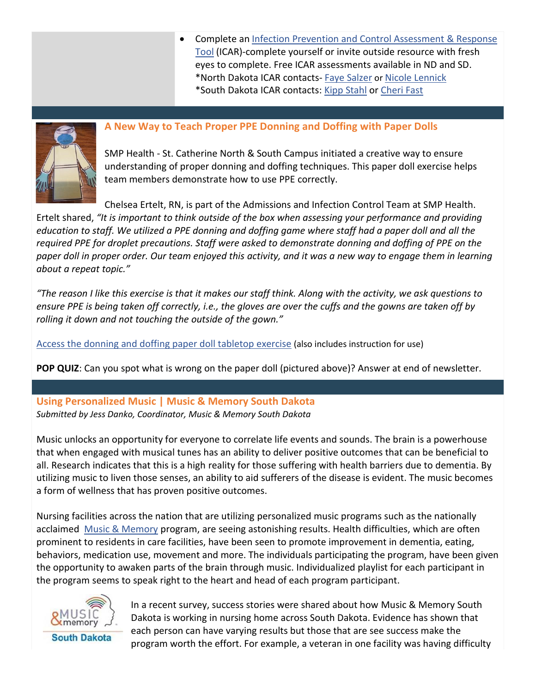• Complete an [Infection Prevention and Control Assessment &](https://www.cdc.gov/coronavirus/2019-ncov/hcp/assessment-tool-for-nursing-homes.html) Response [Tool](https://www.cdc.gov/coronavirus/2019-ncov/hcp/assessment-tool-for-nursing-homes.html) (ICAR)-complete yourself or invite outside resource with fresh eyes to complete. Free ICAR assessments available in ND and SD. \*North Dakota ICAR contacts- [Faye Salzer](mailto:fsalzer@nd.gov) or [Nicole Lennick](mailto:nlennick@nd.gov) \*South Dakota ICAR contacts: [Kipp Stahl](mailto:kipp.stahl@sd.state.us) or [Cheri Fast](mailto:cheri.fast@sdfmc.org)



## **A New Way to Teach Proper PPE Donning and Doffing with Paper Dolls**

SMP Health - St. Catherine North & South Campus initiated a creative way to ensure understanding of proper donning and doffing techniques. This paper doll exercise helps team members demonstrate how to use PPE correctly.

Chelsea Ertelt, RN, is part of the Admissions and Infection Control Team at SMP Health.

Ertelt shared, *"It is important to think outside of the box when assessing your performance and providing education to staff. We utilized a PPE donning and doffing game where staff had a paper doll and all the required PPE for droplet precautions. Staff were asked to demonstrate donning and doffing of PPE on the paper doll in proper order. Our team enjoyed this activity, and it was a new way to engage them in learning about a repeat topic."*

*"The reason I like this exercise is that it makes our staff think. Along with the activity, we ask questions to ensure PPE is being taken off correctly, i.e., the gloves are over the cuffs and the gowns are taken off by rolling it down and not touching the outside of the gown."* 

[Access the donning and doffing paper doll tabletop exercise](https://opqic.org/wp-content/uploads/2020/03/DONNING-AND-DOFFING-TABLE-TOP-EXERCISE.pdf) (also includes instruction for use)

**POP QUIZ**: Can you spot what is wrong on the paper doll (pictured above)? Answer at end of newsletter.

## **Using Personalized Music | Music & Memory South Dakota**  *Submitted by Jess Danko, Coordinator, Music & Memory South Dakota*

Music unlocks an opportunity for everyone to correlate life events and sounds. The brain is a powerhouse that when engaged with musical tunes has an ability to deliver positive outcomes that can be beneficial to all. Research indicates that this is a high reality for those suffering with health barriers due to dementia. By utilizing music to liven those senses, an ability to aid sufferers of the disease is evident. The music becomes a form of wellness that has proven positive outcomes.

Nursing facilities across the nation that are utilizing personalized music programs such as the nationally acclaimed [Music & Memory](https://musicandmemory.org/) program, are seeing astonishing results. Health difficulties, which are often prominent to residents in care facilities, have been seen to promote improvement in dementia, eating, behaviors, medication use, movement and more. The individuals participating the program, have been given the opportunity to awaken parts of the brain through music. Individualized playlist for each participant in the program seems to speak right to the heart and head of each program participant.



In a recent survey, success stories were shared about how Music & Memory South Dakota is working in nursing home across South Dakota. Evidence has shown that each person can have varying results but those that are see success make the program worth the effort. For example, a veteran in one facility was having difficulty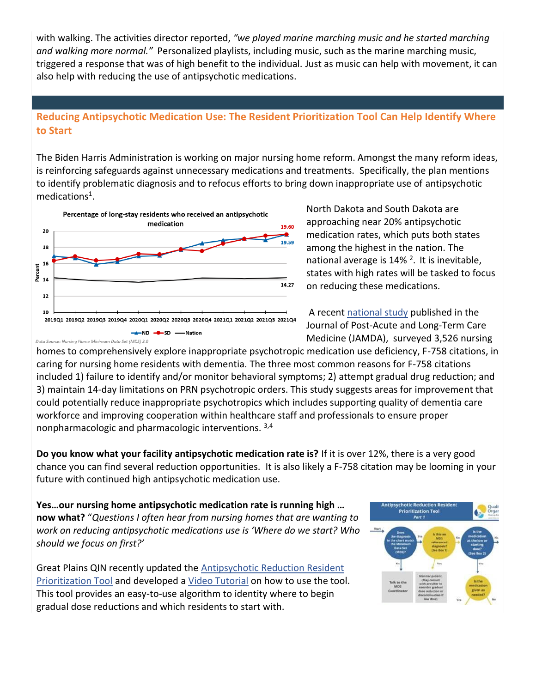with walking. The activities director reported, *"we played marine marching music and he started marching and walking more normal."* Personalized playlists, including music, such as the marine marching music, triggered a response that was of high benefit to the individual. Just as music can help with movement, it can also help with reducing the use of antipsychotic medications.

# **Reducing Antipsychotic Medication Use: The Resident Prioritization Tool Can Help Identify Where to Start**

The Biden Harris Administration is working on major nursing home reform. Amongst the many reform ideas, is reinforcing safeguards against unnecessary medications and treatments. Specifically, the plan mentions to identify problematic diagnosis and to refocus efforts to bring down inappropriate use of antipsychotic medications<sup>1</sup>.



North Dakota and South Dakota are approaching near 20% antipsychotic medication rates, which puts both states among the highest in the nation. The national average is 14%<sup>2</sup>. It is inevitable, states with high rates will be tasked to focus on reducing these medications.

A recen[t national study](https://www.jamda.com/article/S1525-8610(22)00302-4/fulltext#%20) published in the Journal of Post-Acute and Long-Term Care Medicine (JAMDA), surveyed 3,526 nursing

homes to comprehensively explore inappropriate psychotropic medication use deficiency, F-758 citations, in caring for nursing home residents with dementia. The three most common reasons for F-758 citations included 1) failure to identify and/or monitor behavioral symptoms; 2) attempt gradual drug reduction; and 3) maintain 14-day limitations on PRN psychotropic orders. This study suggests areas for improvement that could potentially reduce inappropriate psychotropics which includes supporting quality of dementia care workforce and improving cooperation within healthcare staff and professionals to ensure proper nonpharmacologic and pharmacologic interventions. 3,4

**Do you know what your facility antipsychotic medication rate is?** If it is over 12%, there is a very good chance you can find several reduction opportunities. It is also likely a F-758 citation may be looming in your future with continued high antipsychotic medication use.

**Yes…our nursing home antipsychotic medication rate is running high … now what?** "*Questions I often hear from nursing homes that are wanting to work on reducing antipsychotic medications use is 'Where do we start? Who should we focus on first?'*

Great Plains QIN recently updated the [Antipsychotic Reduction Resident](https://greatplainsqin.org/wp-content/uploads/2016/03/Great-Plains-QIN-Antipsychotic-Reduction-Resident-Prioritization-Tool.pdf)  [Prioritization Tool](https://greatplainsqin.org/wp-content/uploads/2016/03/Great-Plains-QIN-Antipsychotic-Reduction-Resident-Prioritization-Tool.pdf) and developed a [Video Tutorial](https://greatplainsqin.org/wp-content/uploads/2022/06/Antipsychotic-Med-Prioritization-Tool-Video.mp4) on how to use the tool. This tool provides an easy-to-use algorithm to identity where to begin gradual dose reductions and which residents to start with.

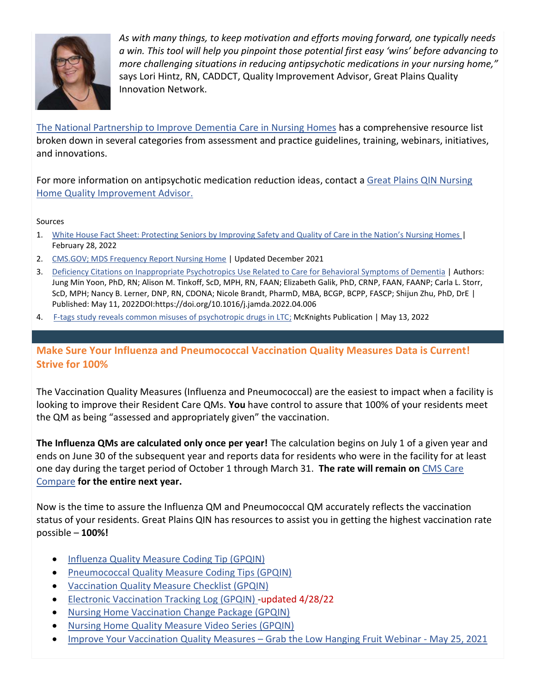

*As with many things, to keep motivation and efforts moving forward, one typically needs a win. This tool will help you pinpoint those potential first easy 'wins' before advancing to more challenging situations in reducing antipsychotic medications in your nursing home,"* says Lori Hintz, RN, CADDCT, Quality Improvement Advisor, Great Plains Quality Innovation Network.

[The National Partnership to Improve Dementia Care in Nursing Homes](https://www.cms.gov/Medicare/Provider-Enrollment-and-Certification/SurveyCertificationGenInfo/National-Partnership-Dementia-Care-Resources) has a comprehensive resource list broken down in several categories from assessment and practice guidelines, training, webinars, initiatives, and innovations.

For more information on antipsychotic medication reduction ideas, contact a Great Plains QIN Nursing Home Quality Improvement Advisor.

#### Sources

- 1. White House Fact Sheet: Protecting Senior[s by Improving Safety and Quality of Care in the Nation's Nursing Homes](https://www.whitehouse.gov/briefing-room/statements-releases/2022/02/28/fact-sheet-protecting-seniors-and-people-with-disabilities-by-improving-safety-and-quality-of-care-in-the-nations-nursing-homes/) | February 28, 2022
- 2. [CMS.GOV; MDS Frequency Report Nursing Home](https://www.cms.gov/Research-Statistics-Data-and-Systems/Computer-Data-and-Systems/Minimum-Data-Set-3-0-Public-Reports/Minimum-Data-Set-3-0-Frequency-Report) | Updated December 2021
- 3. [Deficiency Citations on Inappropriate Psychotropics Use Related to Care for Behavioral Symptoms of Dementia](https://www.jamda.com/article/S1525-8610(22)00302-4/fulltext#%20) | Authors: Jung Min Yoon, PhD, RN; Alison M. Tinkoff, ScD, MPH, RN, FAAN; Elizabeth Galik, PhD, CRNP, FAAN, FAANP; Carla L. Storr, ScD, MPH; Nancy B. Lerner, DNP, RN, CDONA; Nicole Brandt, PharmD, MBA, BCGP, BCPP, FASCP; Shijun Zhu, PhD, DrE | Published: May 11, 2022DOI:https://doi.org/10.1016/j.jamda.2022.04.006
- 4. [F-tags study reveals common misuses of psychotropic drugs in LTC;](https://www.mcknights.com/news/clinical-news/f-tags-study-reveals-common-misuses-of-psychotropic-drugs-in-ltc/?utm_source=newsletter&utm_medium=email&utm_campaign=MLT_ClinicalDaily_20220513&hmSubId=mtWXon4Riv81&hmEmail=Cmh7SpJ3bsXuA3yxj6xAWfcPnRyPmS2V1AgkgMsBdbQ1&email_hash=2de54a6cbdd0152f233ce6434e683e7f&mpweb=1326-27664-777449) McKnights Publication | May 13, 2022

**Make Sure Your Influenza and Pneumococcal Vaccination Quality Measures Data is Current! Strive for 100%** 

The Vaccination Quality Measures (Influenza and Pneumococcal) are the easiest to impact when a facility is looking to improve their Resident Care QMs. **You** have control to assure that 100% of your residents meet the QM as being "assessed and appropriately given" the vaccination.

**The Influenza QMs are calculated only once per year!** The calculation begins on July 1 of a given year and ends on June 30 of the subsequent year and reports data for residents who were in the facility for at least one day during the target period of October 1 through March 31. **The rate will remain on** [CMS Care](https://www.medicare.gov/care-compare/)  [Compare](https://www.medicare.gov/care-compare/) **for the entire next year.**

Now is the time to assure the Influenza QM and Pneumococcal QM accurately reflects the vaccination status of your residents. Great Plains QIN has resources to assist you in getting the highest vaccination rate possible – **100%!**

- [Influenza Quality Measure Coding Tip \(GPQIN\)](https://greatplainsqin.org/wp-content/uploads/2021/02/Great-Plains-QIN-Influenza-Quality-Measure-MDS-Coding-Tips-1.pdf)
- [Pneumococcal Quality Measure Coding Tips \(GPQIN\)](https://greatplainsqin.org/wp-content/uploads/2021/02/Great-Plains-QIN-Pneumococcal-Quality-Measure-MDS-Coding-Tips.pdf)
- [Vaccination Quality Measure Checklist \(GPQIN\)](https://greatplainsqin.org/wp-content/uploads/2021/03/Great-Plains-QIN-Vaccination-Quality-Measure-Checklist-2021-1.pdf)
- [Electronic Vaccination Tracking Log \(GPQIN\)](https://greatplainsqin.org/wp-content/uploads/2021/03/GPQIN-Electronic-Vaccination-Log-Updated-Dec-2021-FINAL.xlsx) -updated 4/28/22
- [Nursing Home Vaccination Change Package \(GPQIN\)](https://greatplainsqin.org/wp-content/uploads/2021/12/Great-Plains-QIN-Change-Package-Vaccination-December-21-Update.pdf)
- [Nursing Home Quality Measure Video Series \(GPQIN\)](https://greatplainsqin.org/initiatives/nursing-home-quality/nursing-home-quality-measure-video-series/)
- [Improve Your Vaccination Quality Measures](https://events.greatplainsqin.org/event/68548884)  Grab the Low Hanging Fruit Webinar May 25, 2021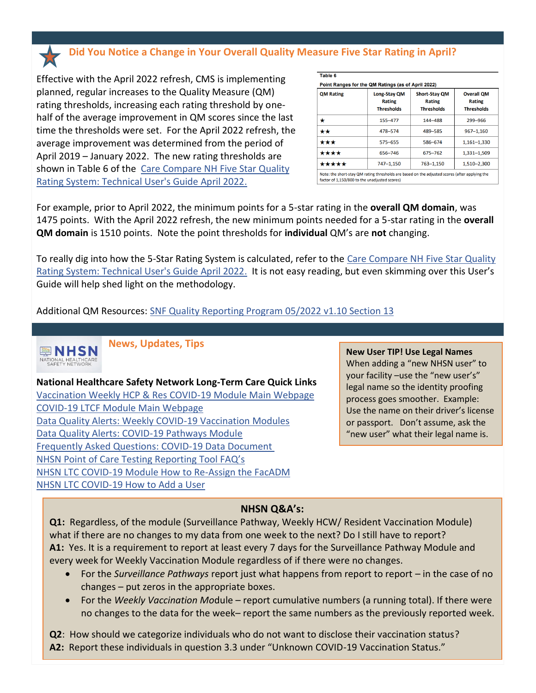**Did You Notice a Change in Your Overall Quality Measure Five Star Rating in April?** 

Effective with the April 2022 refresh, CMS is implementing planned, regular increases to the Quality Measure (QM) rating thresholds, increasing each rating threshold by onehalf of the average improvement in QM scores since the last time the thresholds were set. For the April 2022 refresh, the average improvement was determined from the period of April 2019 – January 2022. The new rating thresholds are shown in Table 6 of the [Care Compare NH Five Star Quality](https://higherlogicdownload.s3-external-1.amazonaws.com/AANAC/2f7f6849-8d39-42ba-97bb-980efcf2987e_file.pdf?AWSAccessKeyId=AKIAVRDO7IEREB57R7MT&Expires=1652389572&Signature=WrdqIawQOnPhaCrSv%2BzmctjwJdY%3D)  [Rating System: Technical User's Guide April 2022.](https://higherlogicdownload.s3-external-1.amazonaws.com/AANAC/2f7f6849-8d39-42ba-97bb-980efcf2987e_file.pdf?AWSAccessKeyId=AKIAVRDO7IEREB57R7MT&Expires=1652389572&Signature=WrdqIawQOnPhaCrSv%2BzmctjwJdY%3D)

| <b>QM Rating</b> | Long-Stay QM<br><b>Rating</b><br><b>Thresholds</b> | <b>Short-Stay QM</b><br><b>Rating</b><br><b>Thresholds</b> | <b>Overall OM</b><br><b>Rating</b><br><b>Thresholds</b> |
|------------------|----------------------------------------------------|------------------------------------------------------------|---------------------------------------------------------|
| *                | 155-477                                            | 144-488                                                    | 299-966                                                 |
| **               | 478-574                                            | 489-585                                                    | 967-1,160                                               |
| ***              | 575-655                                            | 586-674                                                    | $1.161 - 1.330$                                         |
| ****             | 656-746                                            | 675-762                                                    | 1.331-1.509                                             |
| *****            | 747-1,150                                          | 763-1,150                                                  | 1,510-2,300                                             |

factor of 1,150/800 to the unadjusted scores)

For example, prior to April 2022, the minimum points for a 5-star rating in the **overall QM domain**, was 1475 points. With the April 2022 refresh, the new minimum points needed for a 5-star rating in the **overall QM domain** is 1510 points. Note the point thresholds for **individual** QM's are **not** changing.

To really dig into how the 5-Star Rating System is calculated, refer to the [Care Compare NH Five Star Quality](https://higherlogicdownload.s3-external-1.amazonaws.com/AANAC/2f7f6849-8d39-42ba-97bb-980efcf2987e_file.pdf?AWSAccessKeyId=AKIAVRDO7IEREB57R7MT&Expires=1652389572&Signature=WrdqIawQOnPhaCrSv%2BzmctjwJdY%3D)  [Rating System: Technical User's Guide April 2022.](https://higherlogicdownload.s3-external-1.amazonaws.com/AANAC/2f7f6849-8d39-42ba-97bb-980efcf2987e_file.pdf?AWSAccessKeyId=AKIAVRDO7IEREB57R7MT&Expires=1652389572&Signature=WrdqIawQOnPhaCrSv%2BzmctjwJdY%3D) It is not easy reading, but even skimming over this User's Guide will help shed light on the methodology.

Additional QM Resources: [SNF Quality Reporting Program 05/2022](https://qtso.cms.gov/system/files/qtso/cspr_sec13_mds_prvdr_6.pdf) v1.10 Section 13



**News, Updates, Tips** 

**National Healthcare Safety Network Long-Term Care Quick Links** [Vaccination Weekly HCP & Res COVID-19 Module Main Webpage](https://www.cdc.gov/nhsn/ltc/weekly-covid-vac/index.html) [COVID-19 LTCF Module Main Webpage](https://www.cdc.gov/nhsn/ltc/covid19/index.html) [Data Quality Alerts: Weekly COVID-19 Vaccination Modules](https://www.cdc.gov/nhsn/pdfs/hps/covidvax/dq-alerts-508.pdf)  [Data Quality Alerts: COVID-19 Pathways Module](https://www.cdc.gov/nhsn/pdfs/covid19/ltcf/data-alerts-508.pdf) [Frequently Asked Questions: COVID-19 Data Document](https://www.cdc.gov/nhsn/pdfs/covid19/ltcf/faq-cms-datarelease-508.pdf) NHSN Point of Care Tes[ting Reporting Tool FAQ's](https://www.cdc.gov/nhsn/pdfs/covid19/ltcf/ltcf-poc-faq-508.pdf)  [NHSN LTC COVID-19 Module How to Re-Assign the FacADM](https://www.cdc.gov/nhsn/pdfs/covid19/ltcf/reassign-fa-508.pdf)  [NHSN LTC COVID-19 How to Add a User](https://www.cdc.gov/nhsn/pdfs/covid19/ltcf/add-user-508.pdf)

#### **New User TIP! Use Legal Names**

When adding a "new NHSN user" to your facility –use the "new user's" legal name so the identity proofing process goes smoother. Example: Use the name on their driver's license or passport. Don't assume, ask the "new user" what their legal name is.

#### **NHSN Q&A's:**

**Q1:** Regardless, of the module (Surveillance Pathway, Weekly HCW/ Resident Vaccination Module) what if there are no changes to my data from one week to the next? Do I still have to report? **A1:** Yes. It is a requirement to report at least every 7 days for the Surveillance Pathway Module and every week for Weekly Vaccination Module regardless of if there were no changes.

- For the *Surveillance Pathways* report just what happens from report to report in the case of no changes – put zeros in the appropriate boxes.
- For the *Weekly Vaccination Mo*dule report cumulative numbers (a running total). If there were no changes to the data for the week– report the same numbers as the previously reported week.

**Q2**: How should we categorize individuals who do not want to disclose their vaccination status?

**A2:** Report these individuals in question 3.3 under "Unknown COVID-19 Vaccination Status."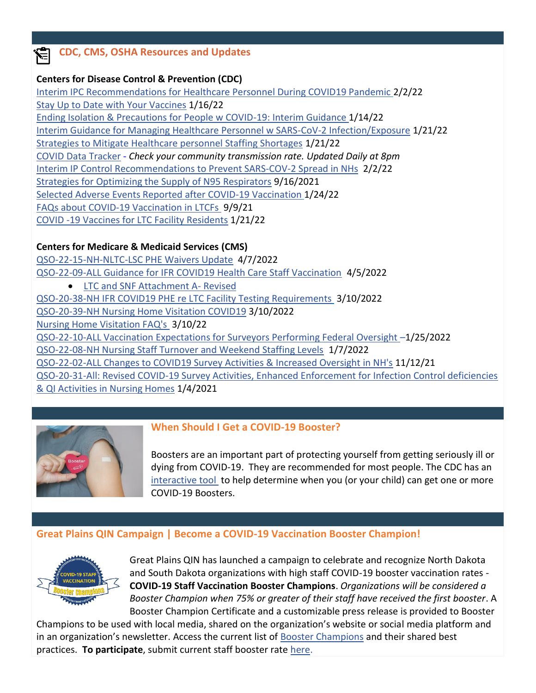# **CDC, CMS, OSHA Resources and Updates**

# **Centers for Disease Control & Prevention (CDC)**

[Interim IPC Recommendations for Healthcare Personnel During COVID19 Pandemic](https://www.cdc.gov/coronavirus/2019-ncov/hcp/infection-control-recommendations.html?_cldee=bG9yaS5oaW50ekBncmVhdHBsYWluc3Fpbi5vcmc%3d&recipientid=contact-7ebafa992220e511b1920050569142af-a89f6502c2dc4f4b8cc9fedd1c522ec2&esid=037c6955-0585-ec11-80fd-000d3a0f728a) 2/2/22 [Stay Up to Date with](https://www.cdc.gov/coronavirus/2019-ncov/vaccines/stay-up-to-date.html?CDC_AA_refVal=https%3A%2F%2Fwww.cdc.gov%2Fcoronavirus%2F2019-ncov%2Fvaccines%2Ffully-vaccinated.html) Your Vaccines 1/16/22 [Ending Isolation & Precautions for People w COVID-19: Interim Guidance 1/14/22](https://www.cdc.gov/coronavirus/2019-ncov/hcp/duration-isolation.html) [Interim Guidance for Managing Healthcare Personnel w SARS-CoV-2 Infection/Exposure](https://www.cdc.gov/coronavirus/2019-ncov/hcp/guidance-risk-assesment-hcp.html) 1/21/22 [Strategies to Mitigate Healthcare personnel Staffing Shortages](https://www.cdc.gov/coronavirus/2019-ncov/hcp/mitigating-staff-shortages.html) 1/21/22 COVID Data Tracker - *Check your [community transmission rate. Updated Daily at 8pm](https://covid.cdc.gov/covid-data-tracker/#datatracker-home)* Interim IP Control Recommendations [to Prevent SARS-COV-2 Spread in NHs](https://www.cdc.gov/coronavirus/2019-ncov/hcp/long-term-care.html#anchor_1631030962190) 2/2/22 [Strategies for Optimizing the Supply of N95 Respirators](https://www.cdc.gov/coronavirus/2019-ncov/hcp/respirators-strategy/index.html) 9/16/2021 [Selected Adverse Events Reported after COVID-19 Vaccination](https://www.cdc.gov/coronavirus/2019-ncov/vaccines/safety/adverse-events.html) 1/24/22 [FAQs about COVID-19 Vaccination in LTCFs](https://www.cdc.gov/vaccines/covid-19/toolkits/long-term-care/faqs.html) 9/9/21 [COVID -19 Vaccines for LTC Facility Residents](https://www.cdc.gov/coronavirus/2019-ncov/vaccines/recommendations/LTCF-residents.html?CDC_AA_refVal=https%3A%2F%2Fwww.cdc.gov%2Fvaccines%2Fcovid-19%2Ftoolkits%2Flong-term-care%2Findex.html) 1/21/22

# **Centers for Medicare & Medicaid Services (CMS)**

[QSO-22-15-NH-NLTC-LSC PHE Waivers Update](https://www.cms.gov/files/document/qso-22-15-nh-nltc-lsc.pdf) 4/7/2022 [QSO-22-09-ALL Guidance for IFR COVID19 Health Care Staff Vaccination](https://www.cms.gov/files/document/qso-22-09-all-revised.pdf)4/5/2022 • [LTC and SNF Attachment A-](https://www.cms.gov/files/document/attachment.pdf?cm_ven=ExactTarget&cm_cat=COVID-19+Update+%23+282&cm_pla=Marks+Memos+2022+List&cm_ite=Long-Term+Care+and+Skilled+Nursing+Facility+Attachment+A-Revised&cm_lm=1249179772&cm_ainfo=&&&&&) Revised [QSO-20-38-NH IFR COVID19 PHE re LTC Facility Testing Requirements](https://www.cms.gov/files/document/qso-20-38-nh-revised.pdf?_cldee=bG9yaS5oaW50ekBncmVhdHBsYWluc3Fpbi5vcmc%3d&recipientid=contact-7ebafa992220e511b1920050569142af-8c84eb64639f4ad793396db15492efd4&esid=ed8c466d-89a0-ec11-8100-000d3a0f728a) 3/10/2022 [QSO-20-39-NH Nursing Home Visitation COVID19](https://www.cms.gov/files/document/qso-20-39-nh-revised.pdf) 3/10/2022 [Nursing Home Visitation FAQ's](https://www.cms.gov/files/document/nursing-home-visitation-faq-1223.pdf) 3/10/22 [QSO-22-10-ALL Vaccination Expectations for Surveyors Performing Federal Oversight](https://www.cms.gov/files/document/qso-22-10-all.pdf?cm_ven=ExactTarget&cm_cat=COVID-19+Update+%23+263&cm_pla=Marks+Memos+2022+List&cm_ite=QSO-22-10-ALL&cm_lm=1249179772&cm_ainfo=&&&&&) –1/25/2022 [QSO-22-08-NH Nursing Staff Turnover and Weekend Staffing Levels](https://www.cms.gov/files/document/qso-22-08-nh.pdf) 1/7/2022 [QSO-22-02-ALL Changes to COVID19 Survey Activities & Increased Oversight in NH's](https://www.cms.gov/files/document/qso-22-02-all.pdf) 11/12/21 QSO-20-31-All: Revised [COVID-19 Survey Activities, Enhanced Enforcement for Infection Control deficiencies](https://www.cms.gov/files/document/qso-20-31-all-revised.pdf)  [& QI Activities in Nursing Homes](https://www.cms.gov/files/document/qso-20-31-all-revised.pdf) 1/4/2021



# **When Should I Get a COVID-19 Booster?**

Boosters are an important part of protecting yourself from getting seriously ill or dying from COVID-19. They are recommended for most people. The CDC has an [interactive tool](https://www.cdc.gov/coronavirus/2019-ncov/vaccines/booster-shot.html) to help determine when you (or your child) can get one or more COVID-19 Boosters.

# **Great Plains QIN Campaign | Become a COVID-19 Vaccination Booster Champion!**



Great Plains QIN has launched a campaign to celebrate and recognize North Dakota and South Dakota organizations with high staff COVID-19 booster vaccination rates - **COVID-19 Staff Vaccination Booster Champions**. *Organizations will be considered a Booster Champion when 75% or greater of their staff have received the first booster*. A Booster Champion Certificate and a customizable press release is provided to Booster

Champions to be used with local media, shared on the organization's website or social media platform and in an organization's newsletter. Access the current list of [Booster Champions](https://greatplainsqin.org/initiatives/nursing-home-quality/covid-19-staff-booster-vaccination-champions/) and their shared best practices. **To participate**, submit current staff booster rate [here.](https://gpqin.wufoo.com/forms/mcb3ufy1ultcc5/)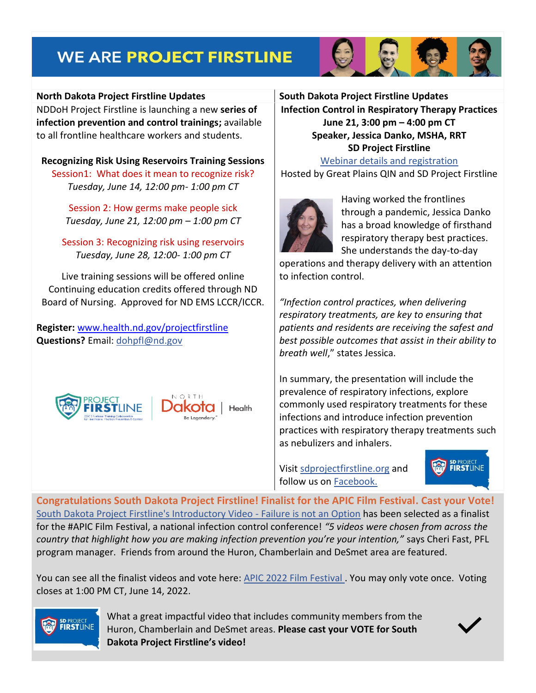# **WE ARE PROJECT FIRSTLINE**



NDDoH Project Firstline is launching a new **series of infection prevention and control trainings;** available to all frontline healthcare workers and students.

**Recognizing Risk Using Reservoirs Training Sessions** Session1: What does it mean to recognize risk? *Tuesday, June 14, 12:00 pm- 1:00 pm CT*

> Session 2: How germs make people sick *Tuesday, June 21, 12:00 pm – 1:00 pm CT*

Session 3: Recognizing risk using reservoirs *Tuesday, June 28, 12:00- 1:00 pm CT*

Live training sessions will be offered online Continuing education credits offered through ND Board of Nursing. Approved for ND EMS LCCR/ICCR.

**Register:** [www.health.nd.gov/projectfirstline](http://www.health.nd.gov/projectfirstline) **Questions?** Email: [dohpfl@nd.gov](mailto:dohpfl@nd.gov)



**Infection Control in Respiratory Therapy Practices June 21, 3:00 pm – 4:00 pm CT Speaker, Jessica Danko, MSHA, RRT SD Project Firstline**

[Webinar details and registration](https://greatplainsqin.org/calendar/infection-control-in-respiratory-therapy-practices/)  Hosted by Great Plains QIN and SD Project Firstline



Having worked the frontlines through a pandemic, Jessica Danko has a broad knowledge of firsthand respiratory therapy best practices. She understands the day-to-day

operations and therapy delivery with an attention to infection control.

*"Infection control practices, when delivering respiratory treatments, are key to ensuring that patients and residents are receiving the safest and best possible outcomes that assist in their ability to breath well*," states Jessica.

In summary, the presentation will include the prevalence of respiratory infections, explore commonly used respiratory treatments for these infections and introduce infection prevention practices with respiratory therapy treatments such as nebulizers and inhalers.

Visit [sdprojectfirstline.org](https://www.sdprojectfirstline.org/) and follow us on [Facebook.](https://www.facebook.com/SDprojectfirstline)



**Congratulations South Dakota Project Firstline! Finalist for the APIC Film Festival. Cast your Vote!**  [South Dakota Project Firstline's Introductory Video -](https://www.facebook.com/watch/?v=598736314999992&extid=CL-UNK-UNK-UNK-AN_GK0T-GK1C&ref=sharing) Failure is not an Option has been selected as a finalist for the #APIC Film Festival, a national infection control conference! *"5 videos were chosen from across the country that highlight how you are making infection prevention you're your intention,"* says Cheri Fast, PFL program manager. Friends from around the Huron, Chamberlain and DeSmet area are featured.

You can see all the finalist videos and vote here: [APIC 2022 Film Festival .](https://annual.apic.org/film-festival/) You may only vote once. Voting closes at 1:00 PM CT, June 14, 2022.



What a great impactful video that includes community members from the Huron, Chamberlain and DeSmet areas. **Please cast your VOTE for South Dakota Project Firstline's video!**